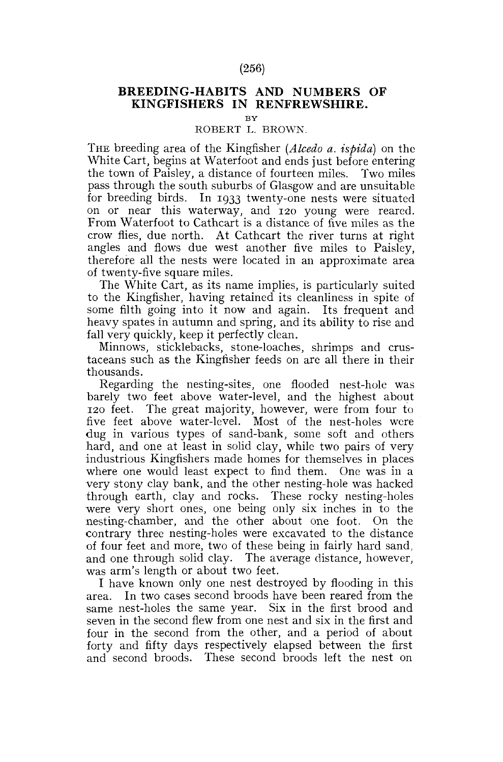## (256)

## **BREEDING-HABITS AND NUMBERS OF KINGFISHERS IN RENFREWSHIRE.**

**BY** 

## ROBERT L. BROWN.

THE breeding area of the Kingfisher *(Alcedo a. ispida)* on the White Cart, begins at Waterfoot and ends just before entering the town of Paisley, a distance of fourteen miles. Two miles pass through the south suburbs of Glasgow and are unsuitable for breeding birds. In 1933 twenty-one nests were situated on or near this waterway, and 120 young were reared. From Waterfoot to Cathcart is a distance of five miles as the crow flies, due north. At Cathcart the river turns at right angles and flows due west another five miles to Paisley, therefore all the nests were located in an approximate area of twenty-five square miles.

The White Cart, as its name implies, is particularly suited to the Kingfisher, having retained its cleanliness in spite of some filth going into it now and again. Its frequent and heavy spates in autumn and spring, and its ability to rise and fall very quickly, keep it perfectly clean.

Minnows, sticklebacks, stone-loaches, shrimps and crustaceans such as the Kingfisher feeds on are all there in their thousands.

Regarding the nesting-sites, one flooded nest-hole was barely two feet above water-level, and the highest about 120 feet. The great majority, however, were from four to five feet above water-level. Most of the nest-holes were dug in various types of sand-bank, some soft and others hard, and one at least in solid clay, while two pairs of very industrious Kingfishers made homes for themselves in places where one would least expect to find them. One was in a very stony clay bank, and the other nesting-hole was hacked through earth, clay and rocks. These rocky nesting-holes were very short ones, one being only six inches in to the nesting-chamber, and the other about one foot. On the contrary three nesting-holes were excavated to the distance of four feet and more, two of these being in fairly hard sand, and one through solid clay. The average distance, however, was arm's length or about two feet.

I have known only one nest destroyed by flooding in this area. In two cases second broods have been reared from the same nest-holes the same year. Six in the first brood and seven in the second flew from one nest and six in the first and four in the second from the other, and a period of about forty and fifty days respectively elapsed between the first and second broods. These second broods left the nest on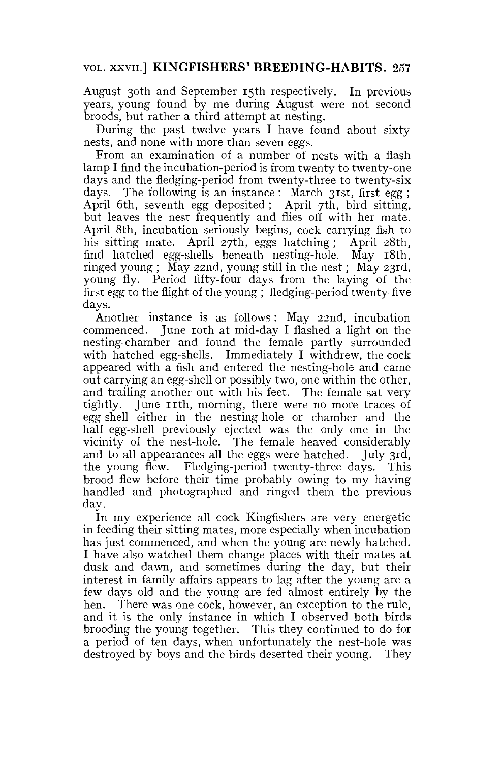## VOL. XXVII] **KINGFISHERS' BREEDING-HABITS.** 257

August 30th and September 15th respectively. In previous years, young found by me during August were not second broods, but rather a third attempt at nesting.

During the past twelve years I have found about sixty nests, and none with more than seven eggs.

From an examination of a number of nests with a flash lamp I find the incubation-period is from twenty to twenty-one days and the fledging-period from twenty-three to twenty-six days. The following is an instance : March 31st, first egg ; April 6th, seventh egg deposited ; April 7th, bird sitting, but leaves the nest frequently and flies off with her mate. April 8th, incubation seriously begins, cock carrying fish to his sitting mate. April 27th, eggs hatching ; April 28th, find hatched egg-shells beneath nesting-hole. May 18th, ringed young ; May 22nd, young still in the nest; May 23rd, young fly. Period fifty-four days from the laying of the first egg to the flight of the young ; fledging-period twenty-five days.

Another instance is as follows : May 22nd, incubation commenced. June 10th at mid-day I flashed a light on the nesting-chamber and found the female partly surrounded with hatched egg-shells. Immediately I withdrew, the cock appeared with a fish and entered the nesting-hole and came out carrying an egg-shell or possibly two, one within the other, and trailing another out with his feet. The female sat very tightly. June 11th, morning, there were no more traces of egg-shell either in the nesting-hole or chamber and the half egg-shell previously ejected was the only one in the vicinity of the nest-hole. The female heaved considerably and to all appearances all the eggs were hatched. July 3rd, the young flew. Fledging-period twenty-three days. This brood flew before their time probably owing to my having handled and photographed and ringed them the previous day.

In my experience all cock Kingfishers are very energetic in feeding their sitting mates, more especially when incubation has just commenced, and when the young are newly hatched. I have also watched them change places with their mates at dusk and dawn, and sometimes during the day, but their interest in family affairs appears to lag after the young are a few days old and the young are fed almost entirely by the hen. There was one cock, however, an exception to the rule, and it is the only instance in which I observed both birds brooding the young together. This they continued to do for a period of ten days, when unfortunately the nest-hole was destroyed by boys and the birds deserted their young. They